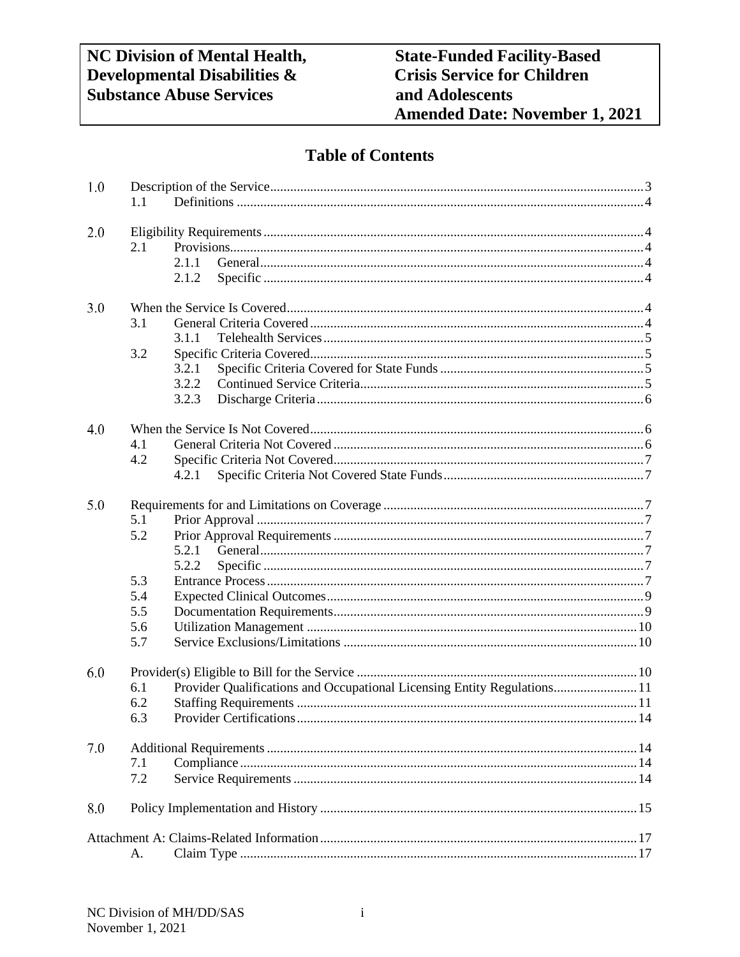# **Table of Contents**

| 1.0 | 1.1 |                                                                          |  |  |
|-----|-----|--------------------------------------------------------------------------|--|--|
| 2.0 |     |                                                                          |  |  |
|     | 2.1 |                                                                          |  |  |
|     |     | 2.1.1                                                                    |  |  |
|     |     | 2.1.2                                                                    |  |  |
|     |     |                                                                          |  |  |
| 3.0 |     |                                                                          |  |  |
|     | 3.1 |                                                                          |  |  |
|     |     | 3.1.1                                                                    |  |  |
|     | 3.2 |                                                                          |  |  |
|     |     | 3.2.1                                                                    |  |  |
|     |     | 3.2.2                                                                    |  |  |
|     |     | 3.2.3                                                                    |  |  |
|     |     |                                                                          |  |  |
| 4.0 |     |                                                                          |  |  |
|     | 4.1 |                                                                          |  |  |
|     | 4.2 |                                                                          |  |  |
|     |     | 4.2.1                                                                    |  |  |
| 5.0 |     |                                                                          |  |  |
|     | 5.1 |                                                                          |  |  |
|     | 5.2 |                                                                          |  |  |
|     |     | 5.2.1                                                                    |  |  |
|     |     | 5.2.2                                                                    |  |  |
|     | 5.3 |                                                                          |  |  |
|     | 5.4 |                                                                          |  |  |
|     |     |                                                                          |  |  |
|     | 5.5 |                                                                          |  |  |
|     | 5.6 |                                                                          |  |  |
|     | 5.7 |                                                                          |  |  |
| 6.0 |     |                                                                          |  |  |
|     | 6.1 | Provider Qualifications and Occupational Licensing Entity Regulations 11 |  |  |
|     | 6.2 |                                                                          |  |  |
|     | 6.3 |                                                                          |  |  |
| 7.0 |     |                                                                          |  |  |
|     | 7.1 |                                                                          |  |  |
|     | 7.2 |                                                                          |  |  |
|     |     |                                                                          |  |  |
| 8.0 |     |                                                                          |  |  |
|     |     |                                                                          |  |  |
|     | А.  |                                                                          |  |  |
|     |     |                                                                          |  |  |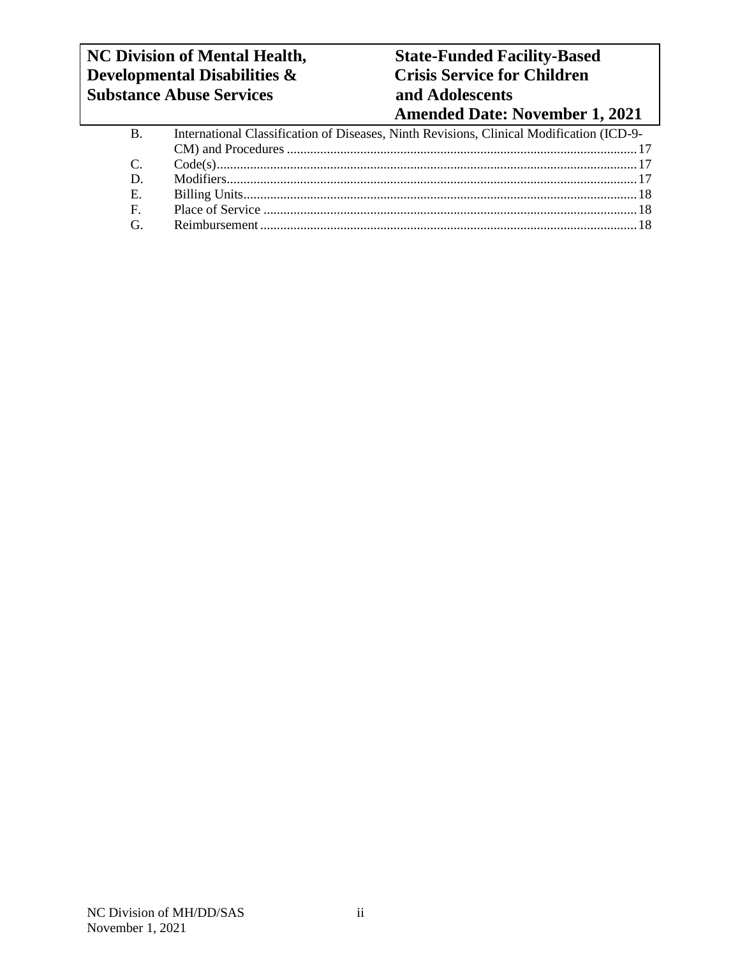# **NC** Division of Mental Health, State-Funded Facility-Based<br>Developmental Disabilities & Crisis Service for Children **Developmental Disabilities & Substance Abuse Services and Adolescents**

# **Amended Date: November 1, 2021**

| <b>B.</b>      | International Classification of Diseases, Ninth Revisions, Clinical Modification (ICD-9- |  |  |
|----------------|------------------------------------------------------------------------------------------|--|--|
|                |                                                                                          |  |  |
| $C_{\cdot}$    |                                                                                          |  |  |
| D.             |                                                                                          |  |  |
| $E$ .          |                                                                                          |  |  |
| $\mathbf{F}$ . |                                                                                          |  |  |
| $\mathbf{G}$   |                                                                                          |  |  |
|                |                                                                                          |  |  |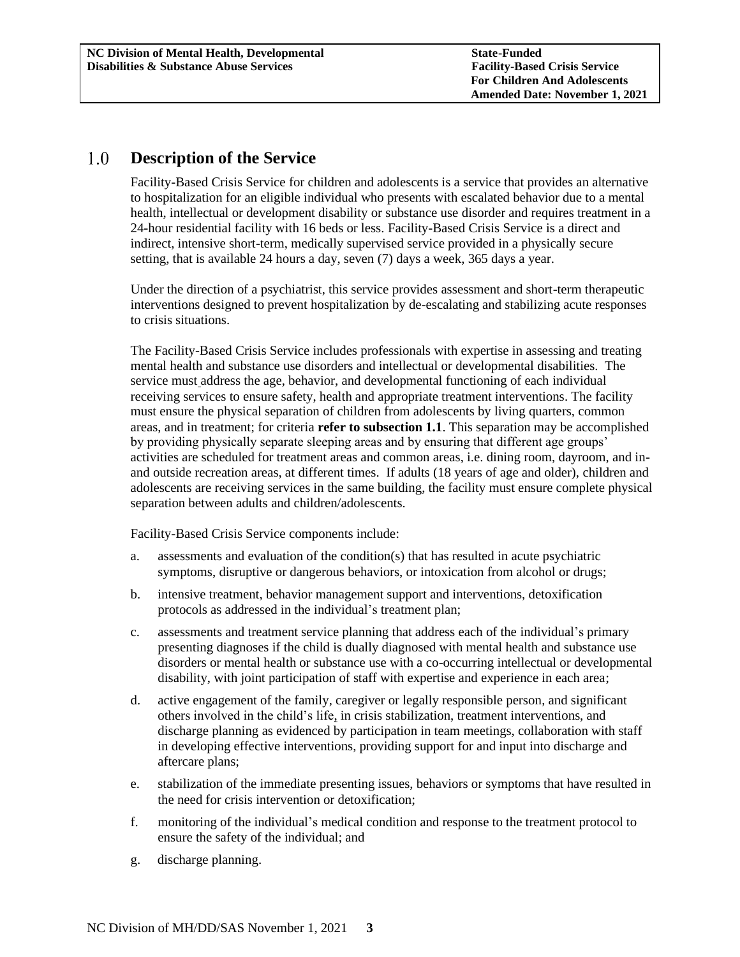#### <span id="page-2-0"></span> $1.0$ **Description of the Service**

Facility-Based Crisis Service for children and adolescents is a service that provides an alternative to hospitalization for an eligible individual who presents with escalated behavior due to a mental health, intellectual or development disability or substance use disorder and requires treatment in a 24-hour residential facility with 16 beds or less. Facility-Based Crisis Service is a direct and indirect, intensive short-term, medically supervised service provided in a physically secure setting, that is available 24 hours a day, seven (7) days a week, 365 days a year.

Under the direction of a psychiatrist, this service provides assessment and short-term therapeutic interventions designed to prevent hospitalization by de-escalating and stabilizing acute responses to crisis situations.

The Facility-Based Crisis Service includes professionals with expertise in assessing and treating mental health and substance use disorders and intellectual or developmental disabilities. The service must address the age, behavior, and developmental functioning of each individual receiving services to ensure safety, health and appropriate treatment interventions. The facility must ensure the physical separation of children from adolescents by living quarters, common areas, and in treatment; for criteria **refer to subsection 1.1**. This separation may be accomplished by providing physically separate sleeping areas and by ensuring that different age groups' activities are scheduled for treatment areas and common areas, i.e. dining room, dayroom, and inand outside recreation areas, at different times. If adults (18 years of age and older), children and adolescents are receiving services in the same building, the facility must ensure complete physical separation between adults and children/adolescents.

Facility-Based Crisis Service components include:

- a. assessments and evaluation of the condition(s) that has resulted in acute psychiatric symptoms, disruptive or dangerous behaviors, or intoxication from alcohol or drugs;
- b. intensive treatment, behavior management support and interventions, detoxification protocols as addressed in the individual's treatment plan;
- c. assessments and treatment service planning that address each of the individual's primary presenting diagnoses if the child is dually diagnosed with mental health and substance use disorders or mental health or substance use with a co-occurring intellectual or developmental disability, with joint participation of staff with expertise and experience in each area;
- d. active engagement of the family, caregiver or legally responsible person, and significant others involved in the child's life, in crisis stabilization, treatment interventions, and discharge planning as evidenced by participation in team meetings, collaboration with staff in developing effective interventions, providing support for and input into discharge and aftercare plans;
- e. stabilization of the immediate presenting issues, behaviors or symptoms that have resulted in the need for crisis intervention or detoxification;
- f. monitoring of the individual's medical condition and response to the treatment protocol to ensure the safety of the individual; and
- g. discharge planning.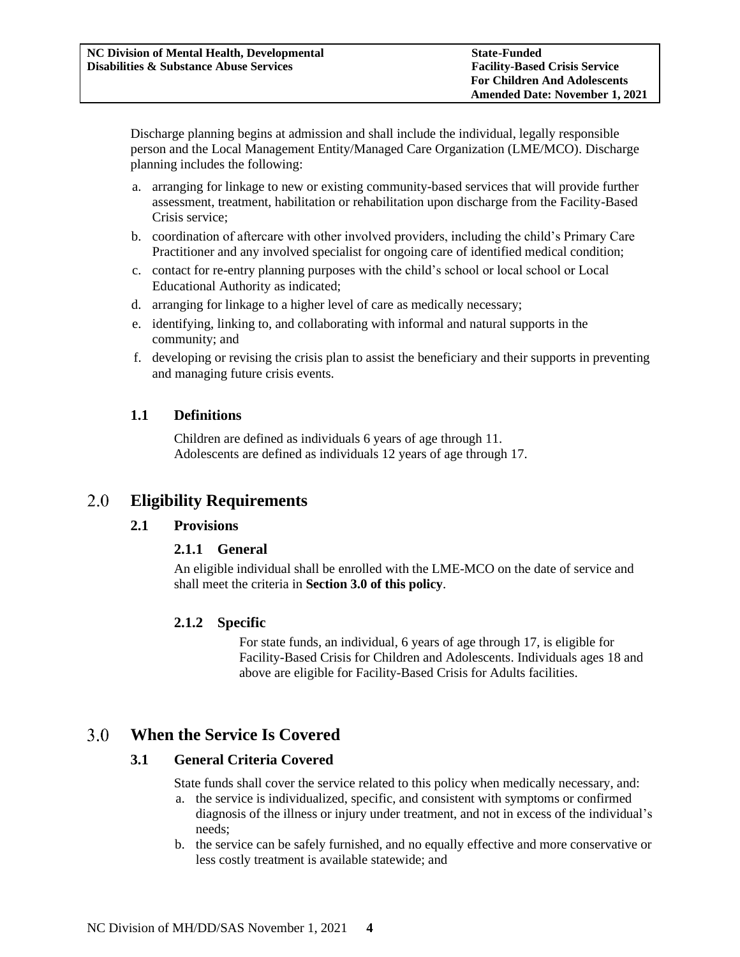Discharge planning begins at admission and shall include the individual, legally responsible person and the Local Management Entity/Managed Care Organization (LME/MCO). Discharge planning includes the following:

- a. arranging for linkage to new or existing community-based services that will provide further assessment, treatment, habilitation or rehabilitation upon discharge from the Facility-Based Crisis service;
- b. coordination of aftercare with other involved providers, including the child's Primary Care Practitioner and any involved specialist for ongoing care of identified medical condition;
- c. contact for re-entry planning purposes with the child's school or local school or Local Educational Authority as indicated;
- d. arranging for linkage to a higher level of care as medically necessary;
- e. identifying, linking to, and collaborating with informal and natural supports in the community; and
- f. developing or revising the crisis plan to assist the beneficiary and their supports in preventing and managing future crisis events.

# <span id="page-3-0"></span>**1.1 Definitions**

Children are defined as individuals 6 years of age through 11. Adolescents are defined as individuals 12 years of age through 17.

#### <span id="page-3-3"></span><span id="page-3-2"></span><span id="page-3-1"></span>**Eligibility Requirements** 2.0

# **2.1 Provisions**

# **2.1.1 General**

An eligible individual shall be enrolled with the LME-MCO on the date of service and shall meet the criteria in **Section 3.0 of this policy**.

# <span id="page-3-4"></span>**2.1.2 Specific**

For state funds, an individual, 6 years of age through 17, is eligible for Facility-Based Crisis for Children and Adolescents. Individuals ages 18 and above are eligible for Facility-Based Crisis for Adults facilities.

#### <span id="page-3-6"></span><span id="page-3-5"></span> $3.0$ **When the Service Is Covered**

# **3.1 General Criteria Covered**

State funds shall cover the service related to this policy when medically necessary, and:

- a. the service is individualized, specific, and consistent with symptoms or confirmed diagnosis of the illness or injury under treatment, and not in excess of the individual's needs;
- b. the service can be safely furnished, and no equally effective and more conservative or less costly treatment is available statewide; and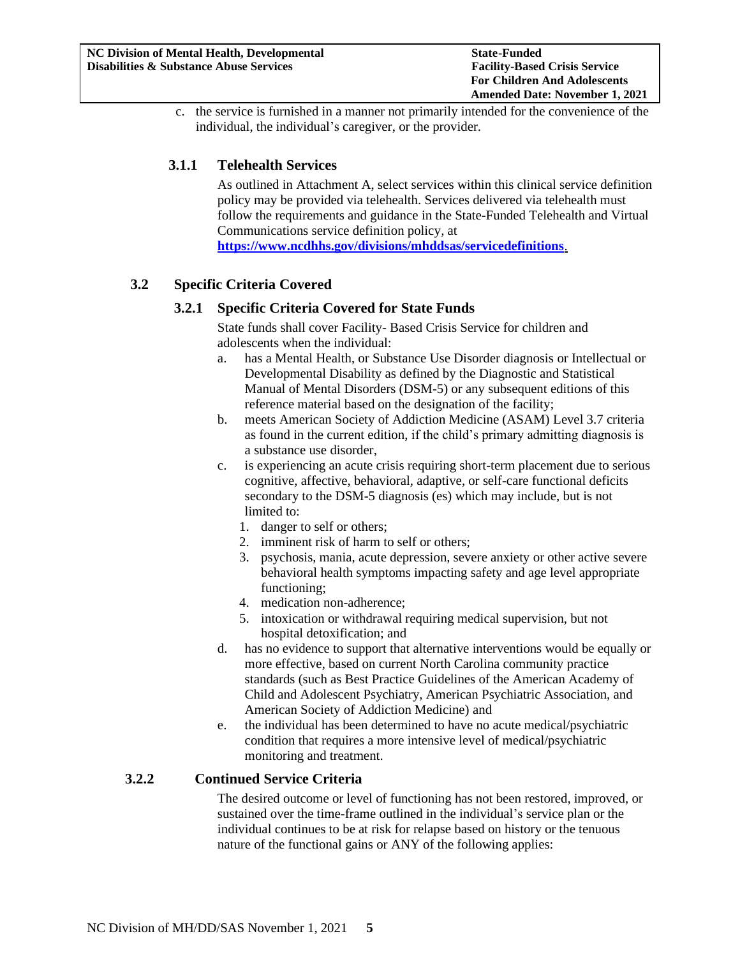c. the service is furnished in a manner not primarily intended for the convenience of the individual, the individual's caregiver, or the provider.

# <span id="page-4-0"></span>**3.1.1 Telehealth Services**

As outlined in Attachment A, select services within this clinical service definition policy may be provided via telehealth. Services delivered via telehealth must follow the requirements and guidance in the State-Funded Telehealth and Virtual Communications service definition policy*,* at **<https://www.ncdhhs.gov/divisions/mhddsas/servicedefinitions>**.

# <span id="page-4-2"></span><span id="page-4-1"></span>**3.2 Specific Criteria Covered**

# **3.2.1 Specific Criteria Covered for State Funds**

State funds shall cover Facility- Based Crisis Service for children and adolescents when the individual:

- a. has a Mental Health, or Substance Use Disorder diagnosis or Intellectual or Developmental Disability as defined by the Diagnostic and Statistical Manual of Mental Disorders (DSM-5) or any subsequent editions of this reference material based on the designation of the facility;
- b. meets American Society of Addiction Medicine (ASAM) Level 3.7 criteria as found in the current edition, if the child's primary admitting diagnosis is a substance use disorder,
- c. is experiencing an acute crisis requiring short-term placement due to serious cognitive, affective, behavioral, adaptive, or self-care functional deficits secondary to the DSM-5 diagnosis (es) which may include, but is not limited to:
	- 1. danger to self or others;
	- 2. imminent risk of harm to self or others;
	- 3. psychosis, mania, acute depression, severe anxiety or other active severe behavioral health symptoms impacting safety and age level appropriate functioning;
	- 4. medication non-adherence;
	- 5. intoxication or withdrawal requiring medical supervision, but not hospital detoxification; and
- d. has no evidence to support that alternative interventions would be equally or more effective, based on current North Carolina community practice standards (such as Best Practice Guidelines of the American Academy of Child and Adolescent Psychiatry, American Psychiatric Association, and American Society of Addiction Medicine) and
- e. the individual has been determined to have no acute medical/psychiatric condition that requires a more intensive level of medical/psychiatric monitoring and treatment.

# <span id="page-4-3"></span>**3.2.2 Continued Service Criteria**

The desired outcome or level of functioning has not been restored, improved, or sustained over the time-frame outlined in the individual's service plan or the individual continues to be at risk for relapse based on history or the tenuous nature of the functional gains or ANY of the following applies: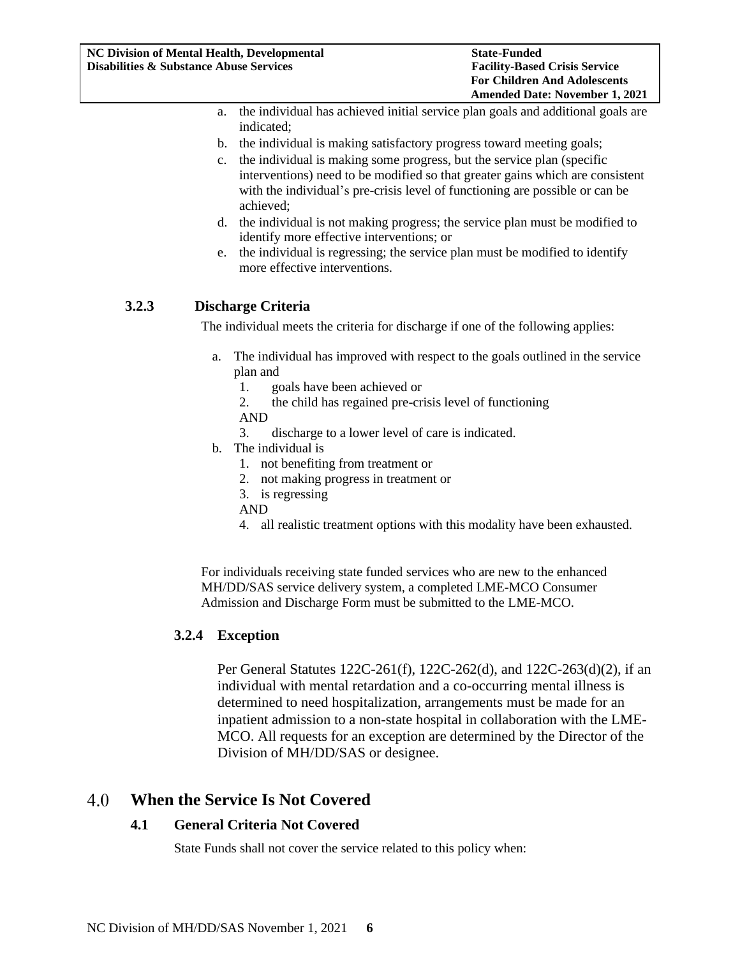- a. the individual has achieved initial service plan goals and additional goals are indicated;
- b. the individual is making satisfactory progress toward meeting goals;
- c. the individual is making some progress, but the service plan (specific interventions) need to be modified so that greater gains which are consistent with the individual's pre-crisis level of functioning are possible or can be achieved;
- d. the individual is not making progress; the service plan must be modified to identify more effective interventions; or
- e. the individual is regressing; the service plan must be modified to identify more effective interventions.

# <span id="page-5-0"></span>**3.2.3 Discharge Criteria**

The individual meets the criteria for discharge if one of the following applies:

- a. The individual has improved with respect to the goals outlined in the service plan and
	- 1. goals have been achieved or
	- 2. the child has regained pre-crisis level of functioning
	- AND
	- 3. discharge to a lower level of care is indicated.
- b. The individual is
	- 1. not benefiting from treatment or
	- 2. not making progress in treatment or
	- 3. is regressing
	- AND
	- 4. all realistic treatment options with this modality have been exhausted.

For individuals receiving state funded services who are new to the enhanced MH/DD/SAS service delivery system, a completed LME-MCO Consumer Admission and Discharge Form must be submitted to the LME-MCO.

# **3.2.4 Exception**

Per General Statutes 122C-261(f), 122C-262(d), and 122C-263(d)(2), if an individual with mental retardation and a co-occurring mental illness is determined to need hospitalization, arrangements must be made for an inpatient admission to a non-state hospital in collaboration with the LME-MCO. All requests for an exception are determined by the Director of the Division of MH/DD/SAS or designee.

#### <span id="page-5-2"></span><span id="page-5-1"></span> $4.0$ **When the Service Is Not Covered**

# **4.1 General Criteria Not Covered**

State Funds shall not cover the service related to this policy when: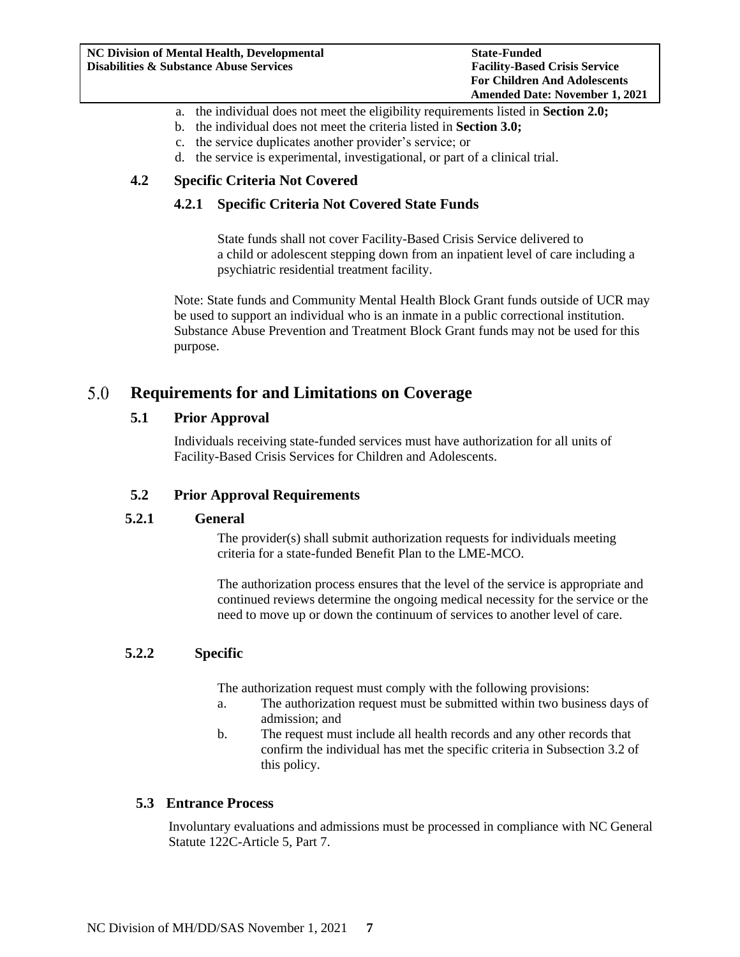- a. the individual does not meet the eligibility requirements listed in **Section 2.0;**
- b. the individual does not meet the criteria listed in **Section 3.0;**
- c. the service duplicates another provider's service; or
- d. the service is experimental, investigational, or part of a clinical trial.

# <span id="page-6-1"></span><span id="page-6-0"></span>**4.2 Specific Criteria Not Covered**

## **4.2.1 Specific Criteria Not Covered State Funds**

State funds shall not cover Facility-Based Crisis Service delivered to a child or adolescent stepping down from an inpatient level of care including a psychiatric residential treatment facility.

Note: State funds and Community Mental Health Block Grant funds outside of UCR may be used to support an individual who is an inmate in a public correctional institution. Substance Abuse Prevention and Treatment Block Grant funds may not be used for this purpose.

#### <span id="page-6-3"></span><span id="page-6-2"></span>5.0 **Requirements for and Limitations on Coverage**

## **5.1 Prior Approval**

Individuals receiving state-funded services must have authorization for all units of Facility-Based Crisis Services for Children and Adolescents.

# <span id="page-6-4"></span>**5.2 Prior Approval Requirements**

## <span id="page-6-5"></span>**5.2.1 General**

The provider(s) shall submit authorization requests for individuals meeting criteria for a state-funded Benefit Plan to the LME-MCO.

The authorization process ensures that the level of the service is appropriate and continued reviews determine the ongoing medical necessity for the service or the need to move up or down the continuum of services to another level of care.

#### <span id="page-6-6"></span>**5.2.2 Specific**

The authorization request must comply with the following provisions:

- a. The authorization request must be submitted within two business days of admission; and
- b. The request must include all health records and any other records that confirm the individual has met the specific criteria in Subsection 3.2 of this policy.

#### <span id="page-6-7"></span>**5.3 Entrance Process**

Involuntary evaluations and admissions must be processed in compliance with NC General Statute 122C-Article 5, Part 7.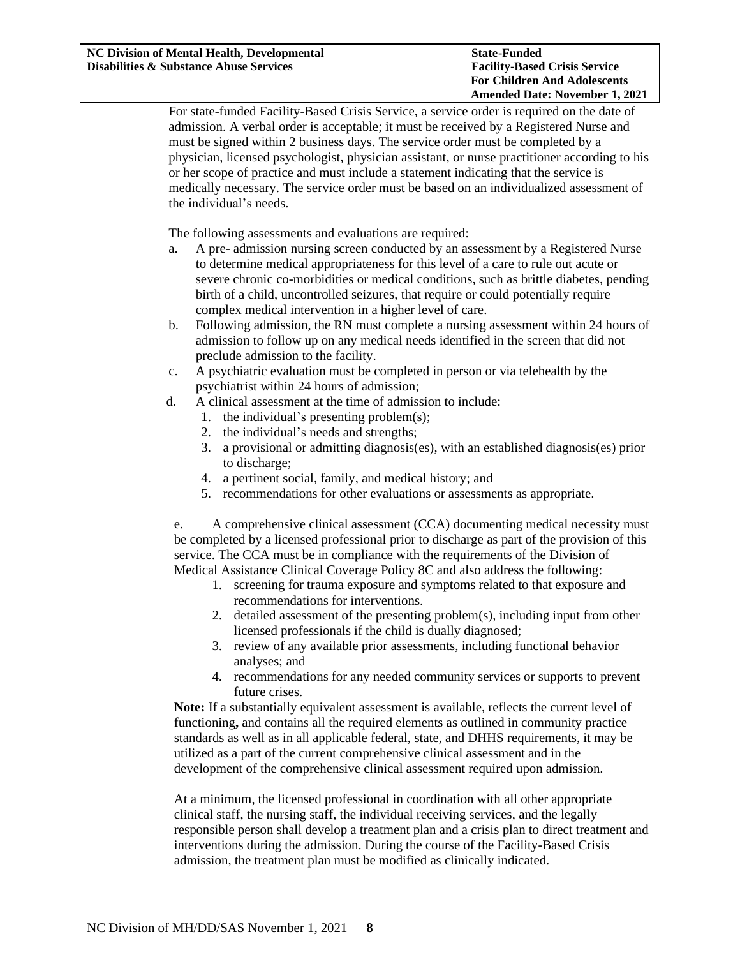For state-funded Facility-Based Crisis Service, a service order is required on the date of admission. A verbal order is acceptable; it must be received by a Registered Nurse and must be signed within 2 business days. The service order must be completed by a physician, licensed psychologist, physician assistant, or nurse practitioner according to his or her scope of practice and must include a statement indicating that the service is medically necessary. The service order must be based on an individualized assessment of the individual's needs.

The following assessments and evaluations are required:

- a. A pre- admission nursing screen conducted by an assessment by a Registered Nurse to determine medical appropriateness for this level of a care to rule out acute or severe chronic co-morbidities or medical conditions, such as brittle diabetes, pending birth of a child, uncontrolled seizures, that require or could potentially require complex medical intervention in a higher level of care.
- b. Following admission, the RN must complete a nursing assessment within 24 hours of admission to follow up on any medical needs identified in the screen that did not preclude admission to the facility.
- c. A psychiatric evaluation must be completed in person or via telehealth by the psychiatrist within 24 hours of admission;
- d. A clinical assessment at the time of admission to include:
	- 1. the individual's presenting problem(s);
	- 2. the individual's needs and strengths;
	- 3. a provisional or admitting diagnosis(es), with an established diagnosis(es) prior to discharge;
	- 4. a pertinent social, family, and medical history; and
	- 5. recommendations for other evaluations or assessments as appropriate.

e. A comprehensive clinical assessment (CCA) documenting medical necessity must be completed by a licensed professional prior to discharge as part of the provision of this service. The CCA must be in compliance with the requirements of the Division of Medical Assistance Clinical Coverage Policy 8C and also address the following:

- 1. screening for trauma exposure and symptoms related to that exposure and recommendations for interventions.
- 2. detailed assessment of the presenting problem(s), including input from other licensed professionals if the child is dually diagnosed;
- 3. review of any available prior assessments, including functional behavior analyses; and
- 4. recommendations for any needed community services or supports to prevent future crises.

**Note:** If a substantially equivalent assessment is available, reflects the current level of functioning**,** and contains all the required elements as outlined in community practice standards as well as in all applicable federal, state, and DHHS requirements, it may be utilized as a part of the current comprehensive clinical assessment and in the development of the comprehensive clinical assessment required upon admission.

At a minimum, the licensed professional in coordination with all other appropriate clinical staff, the nursing staff, the individual receiving services, and the legally responsible person shall develop a treatment plan and a crisis plan to direct treatment and interventions during the admission. During the course of the Facility-Based Crisis admission, the treatment plan must be modified as clinically indicated.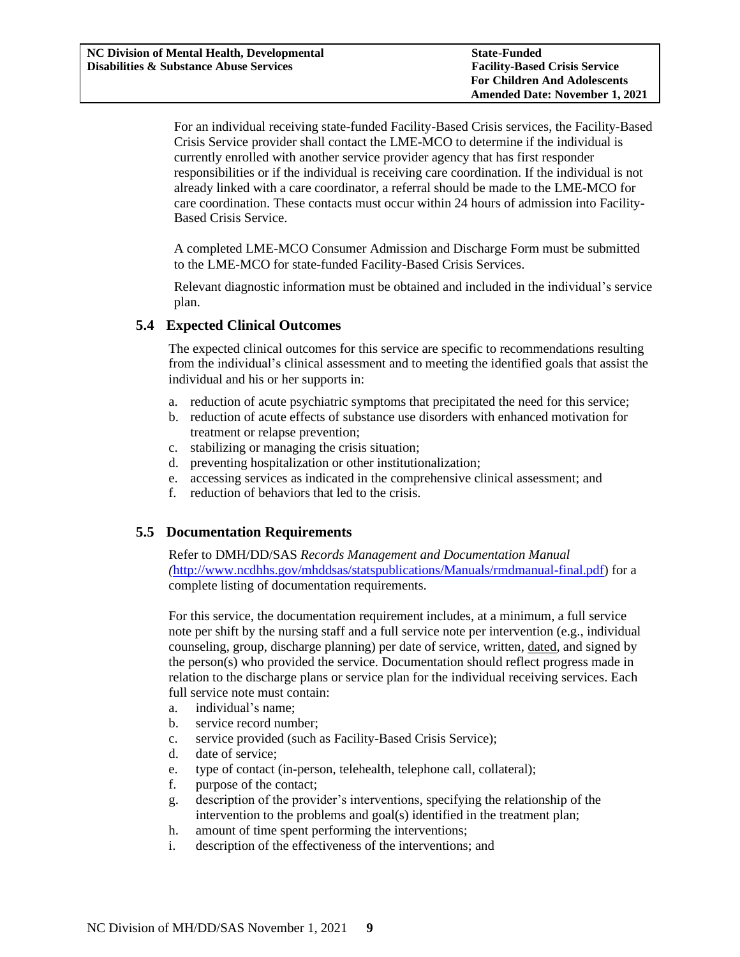For an individual receiving state-funded Facility-Based Crisis services, the Facility-Based Crisis Service provider shall contact the LME-MCO to determine if the individual is currently enrolled with another service provider agency that has first responder responsibilities or if the individual is receiving care coordination. If the individual is not already linked with a care coordinator, a referral should be made to the LME-MCO for care coordination. These contacts must occur within 24 hours of admission into Facility-Based Crisis Service.

A completed LME-MCO Consumer Admission and Discharge Form must be submitted to the LME-MCO for state-funded Facility-Based Crisis Services.

Relevant diagnostic information must be obtained and included in the individual's service plan.

## <span id="page-8-0"></span>**5.4 Expected Clinical Outcomes**

The expected clinical outcomes for this service are specific to recommendations resulting from the individual's clinical assessment and to meeting the identified goals that assist the individual and his or her supports in:

- a. reduction of acute psychiatric symptoms that precipitated the need for this service;
- b. reduction of acute effects of substance use disorders with enhanced motivation for treatment or relapse prevention;
- c. stabilizing or managing the crisis situation;
- d. preventing hospitalization or other institutionalization;
- e. accessing services as indicated in the comprehensive clinical assessment; and
- f. reduction of behaviors that led to the crisis.

#### <span id="page-8-1"></span>**5.5 Documentation Requirements**

Refer to DMH/DD/SAS *Records Management and Documentation Manual (*[http://www.ncdhhs.gov/mhddsas/statspublications/Manuals/rmdmanual-final.pdf\)](http://www.ncdhhs.gov/mhddsas/statspublications/Manuals/rmdmanual-final.pdf) for a complete listing of documentation requirements.

For this service, the documentation requirement includes, at a minimum, a full service note per shift by the nursing staff and a full service note per intervention (e.g., individual counseling, group, discharge planning) per date of service, written, dated, and signed by the person(s) who provided the service. Documentation should reflect progress made in relation to the discharge plans or service plan for the individual receiving services. Each full service note must contain:

- a. individual's name;
- b. service record number;
- c. service provided (such as Facility-Based Crisis Service);
- d. date of service;
- e. type of contact (in-person, telehealth, telephone call, collateral);
- f. purpose of the contact;
- g. description of the provider's interventions, specifying the relationship of the intervention to the problems and goal(s) identified in the treatment plan;
- h. amount of time spent performing the interventions;
- i. description of the effectiveness of the interventions; and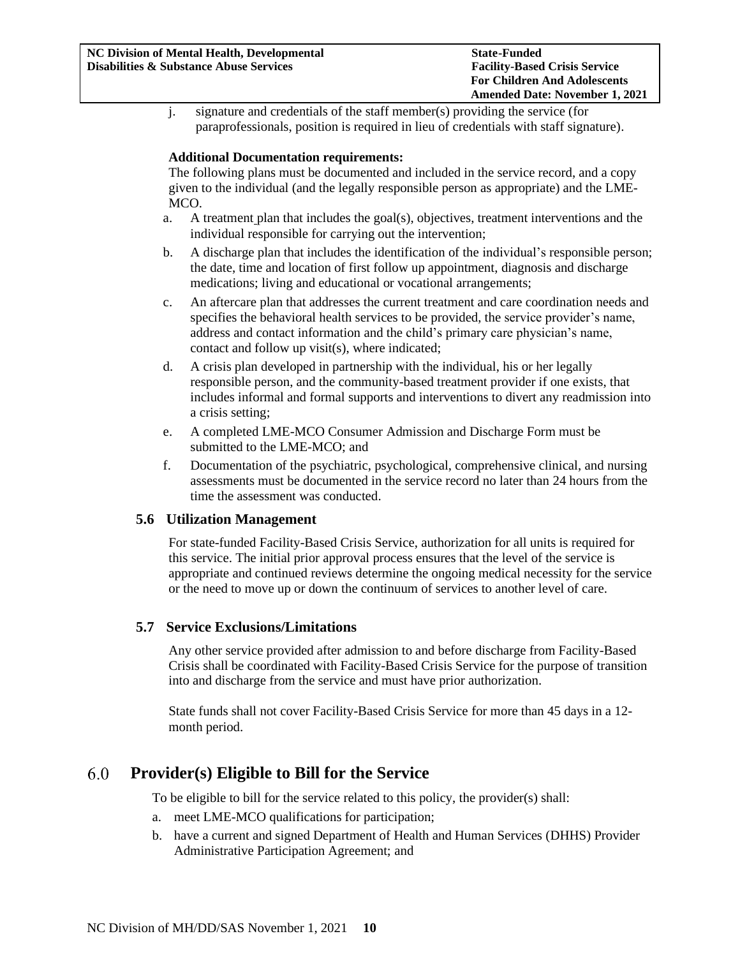j. signature and credentials of the staff member(s) providing the service (for paraprofessionals, position is required in lieu of credentials with staff signature).

#### **Additional Documentation requirements:**

The following plans must be documented and included in the service record, and a copy given to the individual (and the legally responsible person as appropriate) and the LME-MCO.

- a. A treatment plan that includes the goal(s), objectives, treatment interventions and the individual responsible for carrying out the intervention;
- b. A discharge plan that includes the identification of the individual's responsible person; the date, time and location of first follow up appointment, diagnosis and discharge medications; living and educational or vocational arrangements;
- c. An aftercare plan that addresses the current treatment and care coordination needs and specifies the behavioral health services to be provided, the service provider's name, address and contact information and the child's primary care physician's name, contact and follow up visit(s), where indicated;
- d. A crisis plan developed in partnership with the individual, his or her legally responsible person, and the community-based treatment provider if one exists, that includes informal and formal supports and interventions to divert any readmission into a crisis setting;
- e. A completed LME-MCO Consumer Admission and Discharge Form must be submitted to the LME-MCO; and
- f. Documentation of the psychiatric, psychological, comprehensive clinical, and nursing assessments must be documented in the service record no later than 24 hours from the time the assessment was conducted.

#### <span id="page-9-0"></span>**5.6 Utilization Management**

For state-funded Facility-Based Crisis Service, authorization for all units is required for this service. The initial prior approval process ensures that the level of the service is appropriate and continued reviews determine the ongoing medical necessity for the service or the need to move up or down the continuum of services to another level of care.

## <span id="page-9-1"></span>**5.7 Service Exclusions/Limitations**

Any other service provided after admission to and before discharge from Facility-Based Crisis shall be coordinated with Facility-Based Crisis Service for the purpose of transition into and discharge from the service and must have prior authorization.

State funds shall not cover Facility-Based Crisis Service for more than 45 days in a 12 month period.

#### <span id="page-9-2"></span> $6.0$ **Provider(s) Eligible to Bill for the Service**

To be eligible to bill for the service related to this policy, the provider(s) shall:

- a. meet LME-MCO qualifications for participation;
- b. have a current and signed Department of Health and Human Services (DHHS) Provider Administrative Participation Agreement; and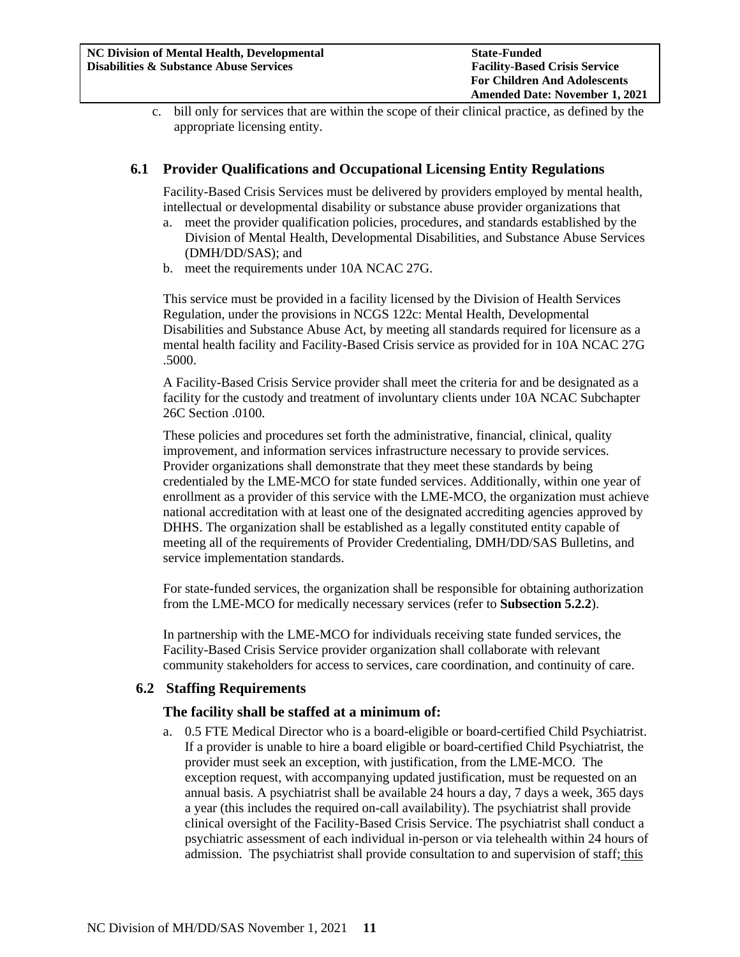c. bill only for services that are within the scope of their clinical practice, as defined by the appropriate licensing entity.

# <span id="page-10-0"></span>**6.1 Provider Qualifications and Occupational Licensing Entity Regulations**

Facility-Based Crisis Services must be delivered by providers employed by mental health, intellectual or developmental disability or substance abuse provider organizations that

- a. meet the provider qualification policies, procedures, and standards established by the Division of Mental Health, Developmental Disabilities, and Substance Abuse Services (DMH/DD/SAS); and
- b. meet the requirements under 10A NCAC 27G.

This service must be provided in a facility licensed by the Division of Health Services Regulation, under the provisions in NCGS 122c: Mental Health, Developmental Disabilities and Substance Abuse Act, by meeting all standards required for licensure as a mental health facility and Facility-Based Crisis service as provided for in 10A NCAC 27G .5000.

A Facility-Based Crisis Service provider shall meet the criteria for and be designated as a facility for the custody and treatment of involuntary clients under 10A NCAC Subchapter 26C Section .0100.

These policies and procedures set forth the administrative, financial, clinical, quality improvement, and information services infrastructure necessary to provide services. Provider organizations shall demonstrate that they meet these standards by being credentialed by the LME-MCO for state funded services. Additionally, within one year of enrollment as a provider of this service with the LME-MCO, the organization must achieve national accreditation with at least one of the designated accrediting agencies approved by DHHS. The organization shall be established as a legally constituted entity capable of meeting all of the requirements of Provider Credentialing, DMH/DD/SAS Bulletins, and service implementation standards.

For state-funded services, the organization shall be responsible for obtaining authorization from the LME-MCO for medically necessary services (refer to **Subsection 5.2.2**).

In partnership with the LME-MCO for individuals receiving state funded services, the Facility-Based Crisis Service provider organization shall collaborate with relevant community stakeholders for access to services, care coordination, and continuity of care.

#### <span id="page-10-1"></span>**6.2 Staffing Requirements**

#### **The facility shall be staffed at a minimum of:**

a. 0.5 FTE Medical Director who is a board-eligible or board-certified Child Psychiatrist. If a provider is unable to hire a board eligible or board-certified Child Psychiatrist, the provider must seek an exception, with justification, from the LME-MCO. The exception request, with accompanying updated justification, must be requested on an annual basis. A psychiatrist shall be available 24 hours a day, 7 days a week, 365 days a year (this includes the required on-call availability). The psychiatrist shall provide clinical oversight of the Facility-Based Crisis Service. The psychiatrist shall conduct a psychiatric assessment of each individual in-person or via telehealth within 24 hours of admission. The psychiatrist shall provide consultation to and supervision of staff; this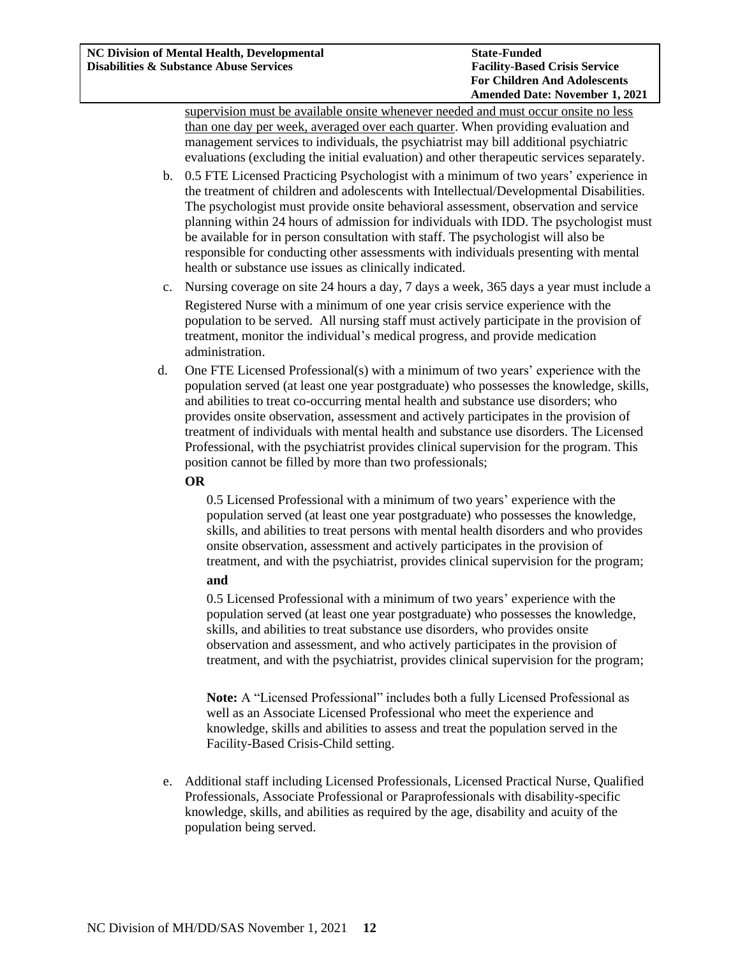supervision must be available onsite whenever needed and must occur onsite no less than one day per week, averaged over each quarter. When providing evaluation and management services to individuals, the psychiatrist may bill additional psychiatric evaluations (excluding the initial evaluation) and other therapeutic services separately.

- b. 0.5 FTE Licensed Practicing Psychologist with a minimum of two years' experience in the treatment of children and adolescents with Intellectual/Developmental Disabilities. The psychologist must provide onsite behavioral assessment, observation and service planning within 24 hours of admission for individuals with IDD. The psychologist must be available for in person consultation with staff. The psychologist will also be responsible for conducting other assessments with individuals presenting with mental health or substance use issues as clinically indicated.
- c. Nursing coverage on site 24 hours a day, 7 days a week, 365 days a year must include a Registered Nurse with a minimum of one year crisis service experience with the population to be served. All nursing staff must actively participate in the provision of treatment, monitor the individual's medical progress, and provide medication administration.
- d. One FTE Licensed Professional(s) with a minimum of two years' experience with the population served (at least one year postgraduate) who possesses the knowledge, skills, and abilities to treat co-occurring mental health and substance use disorders; who provides onsite observation, assessment and actively participates in the provision of treatment of individuals with mental health and substance use disorders. The Licensed Professional, with the psychiatrist provides clinical supervision for the program. This position cannot be filled by more than two professionals;

#### **OR**

0.5 Licensed Professional with a minimum of two years' experience with the population served (at least one year postgraduate) who possesses the knowledge, skills, and abilities to treat persons with mental health disorders and who provides onsite observation, assessment and actively participates in the provision of treatment, and with the psychiatrist, provides clinical supervision for the program;

#### **and**

0.5 Licensed Professional with a minimum of two years' experience with the population served (at least one year postgraduate) who possesses the knowledge, skills, and abilities to treat substance use disorders, who provides onsite observation and assessment, and who actively participates in the provision of treatment, and with the psychiatrist, provides clinical supervision for the program;

**Note:** A "Licensed Professional" includes both a fully Licensed Professional as well as an Associate Licensed Professional who meet the experience and knowledge, skills and abilities to assess and treat the population served in the Facility-Based Crisis-Child setting.

e. Additional staff including Licensed Professionals, Licensed Practical Nurse, Qualified Professionals, Associate Professional or Paraprofessionals with disability-specific knowledge, skills, and abilities as required by the age, disability and acuity of the population being served.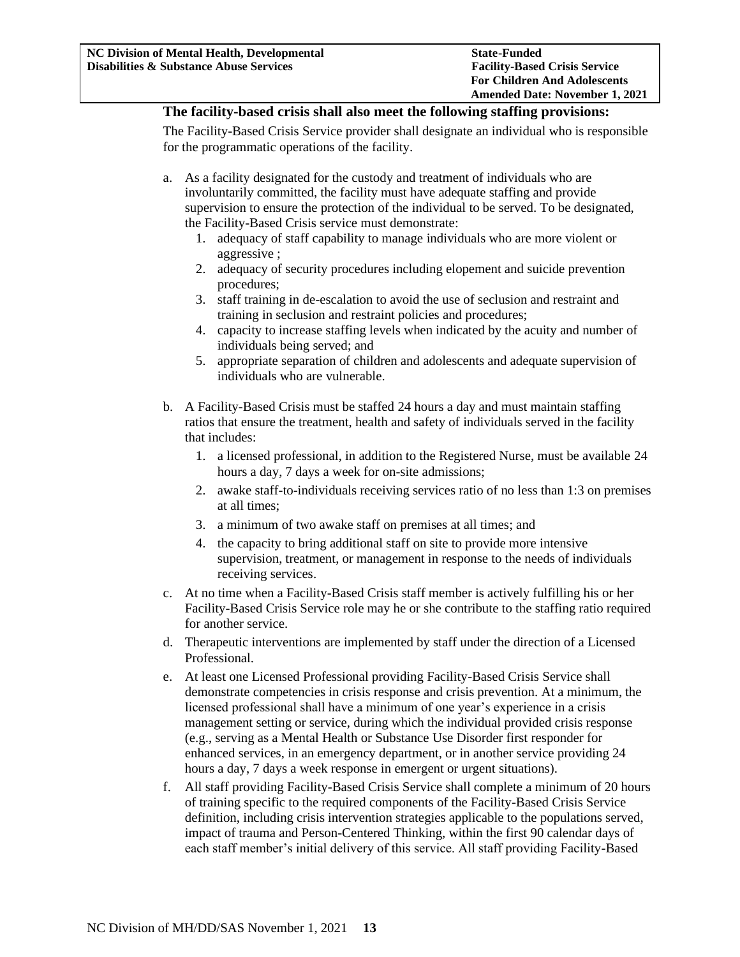## **The facility-based crisis shall also meet the following staffing provisions:**

The Facility-Based Crisis Service provider shall designate an individual who is responsible for the programmatic operations of the facility.

- a. As a facility designated for the custody and treatment of individuals who are involuntarily committed, the facility must have adequate staffing and provide supervision to ensure the protection of the individual to be served. To be designated, the Facility-Based Crisis service must demonstrate:
	- 1. adequacy of staff capability to manage individuals who are more violent or aggressive ;
	- 2. adequacy of security procedures including elopement and suicide prevention procedures;
	- 3. staff training in de-escalation to avoid the use of seclusion and restraint and training in seclusion and restraint policies and procedures;
	- 4. capacity to increase staffing levels when indicated by the acuity and number of individuals being served; and
	- 5. appropriate separation of children and adolescents and adequate supervision of individuals who are vulnerable.
- b. A Facility-Based Crisis must be staffed 24 hours a day and must maintain staffing ratios that ensure the treatment, health and safety of individuals served in the facility that includes:
	- 1. a licensed professional, in addition to the Registered Nurse, must be available 24 hours a day, 7 days a week for on-site admissions;
	- 2. awake staff-to-individuals receiving services ratio of no less than 1:3 on premises at all times;
	- 3. a minimum of two awake staff on premises at all times; and
	- 4. the capacity to bring additional staff on site to provide more intensive supervision, treatment, or management in response to the needs of individuals receiving services.
- c. At no time when a Facility-Based Crisis staff member is actively fulfilling his or her Facility-Based Crisis Service role may he or she contribute to the staffing ratio required for another service.
- d. Therapeutic interventions are implemented by staff under the direction of a Licensed Professional.
- e. At least one Licensed Professional providing Facility-Based Crisis Service shall demonstrate competencies in crisis response and crisis prevention. At a minimum, the licensed professional shall have a minimum of one year's experience in a crisis management setting or service, during which the individual provided crisis response (e.g., serving as a Mental Health or Substance Use Disorder first responder for enhanced services, in an emergency department, or in another service providing 24 hours a day, 7 days a week response in emergent or urgent situations).
- f. All staff providing Facility-Based Crisis Service shall complete a minimum of 20 hours of training specific to the required components of the Facility-Based Crisis Service definition, including crisis intervention strategies applicable to the populations served, impact of trauma and Person-Centered Thinking, within the first 90 calendar days of each staff member's initial delivery of this service. All staff providing Facility-Based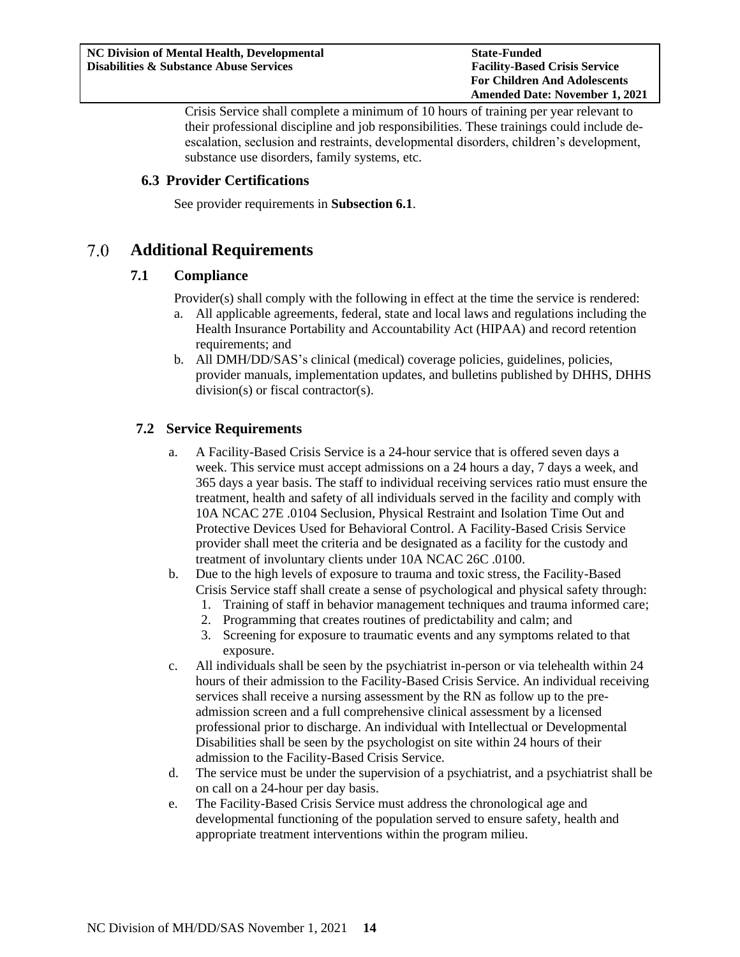Crisis Service shall complete a minimum of 10 hours of training per year relevant to their professional discipline and job responsibilities. These trainings could include deescalation, seclusion and restraints, developmental disorders, children's development, substance use disorders, family systems, etc.

# <span id="page-13-0"></span>**6.3 Provider Certifications**

See provider requirements in **Subsection 6.1**.

#### <span id="page-13-2"></span><span id="page-13-1"></span>7.0 **Additional Requirements**

# **7.1 Compliance**

Provider(s) shall comply with the following in effect at the time the service is rendered:

- a. All applicable agreements, federal, state and local laws and regulations including the Health Insurance Portability and Accountability Act (HIPAA) and record retention requirements; and
- b. All DMH/DD/SAS's clinical (medical) coverage policies, guidelines, policies, provider manuals, implementation updates, and bulletins published by DHHS, DHHS division(s) or fiscal contractor(s).

# <span id="page-13-3"></span>**7.2 Service Requirements**

- a. A Facility-Based Crisis Service is a 24-hour service that is offered seven days a week. This service must accept admissions on a 24 hours a day, 7 days a week, and 365 days a year basis. The staff to individual receiving services ratio must ensure the treatment, health and safety of all individuals served in the facility and comply with 10A NCAC 27E .0104 Seclusion, Physical Restraint and Isolation Time Out and Protective Devices Used for Behavioral Control. A Facility-Based Crisis Service provider shall meet the criteria and be designated as a facility for the custody and treatment of involuntary clients under 10A NCAC 26C .0100.
- b. Due to the high levels of exposure to trauma and toxic stress, the Facility-Based Crisis Service staff shall create a sense of psychological and physical safety through:
	- 1. Training of staff in behavior management techniques and trauma informed care;
	- 2. Programming that creates routines of predictability and calm; and
	- 3. Screening for exposure to traumatic events and any symptoms related to that exposure.
- c. All individuals shall be seen by the psychiatrist in-person or via telehealth within 24 hours of their admission to the Facility-Based Crisis Service. An individual receiving services shall receive a nursing assessment by the RN as follow up to the preadmission screen and a full comprehensive clinical assessment by a licensed professional prior to discharge. An individual with Intellectual or Developmental Disabilities shall be seen by the psychologist on site within 24 hours of their admission to the Facility-Based Crisis Service.
- d. The service must be under the supervision of a psychiatrist, and a psychiatrist shall be on call on a 24-hour per day basis.
- e. The Facility-Based Crisis Service must address the chronological age and developmental functioning of the population served to ensure safety, health and appropriate treatment interventions within the program milieu.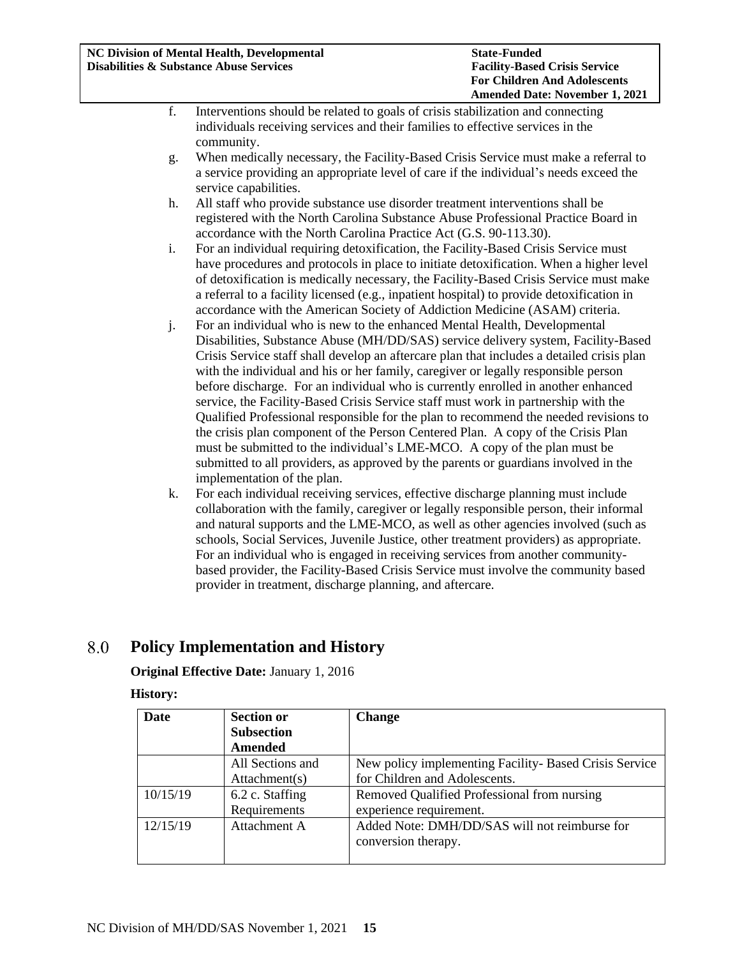- f. Interventions should be related to goals of crisis stabilization and connecting individuals receiving services and their families to effective services in the community.
- g. When medically necessary, the Facility-Based Crisis Service must make a referral to a service providing an appropriate level of care if the individual's needs exceed the service capabilities.
- h. All staff who provide substance use disorder treatment interventions shall be registered with the North Carolina Substance Abuse Professional Practice Board in accordance with the North Carolina Practice Act (G.S. 90-113.30).
- i. For an individual requiring detoxification, the Facility-Based Crisis Service must have procedures and protocols in place to initiate detoxification. When a higher level of detoxification is medically necessary, the Facility-Based Crisis Service must make a referral to a facility licensed (e.g., inpatient hospital) to provide detoxification in accordance with the American Society of Addiction Medicine (ASAM) criteria.
- j. For an individual who is new to the enhanced Mental Health, Developmental Disabilities, Substance Abuse (MH/DD/SAS) service delivery system, Facility-Based Crisis Service staff shall develop an aftercare plan that includes a detailed crisis plan with the individual and his or her family, caregiver or legally responsible person before discharge. For an individual who is currently enrolled in another enhanced service, the Facility-Based Crisis Service staff must work in partnership with the Qualified Professional responsible for the plan to recommend the needed revisions to the crisis plan component of the Person Centered Plan. A copy of the Crisis Plan must be submitted to the individual's LME-MCO. A copy of the plan must be submitted to all providers, as approved by the parents or guardians involved in the implementation of the plan.
- k. For each individual receiving services, effective discharge planning must include collaboration with the family, caregiver or legally responsible person, their informal and natural supports and the LME-MCO, as well as other agencies involved (such as schools, Social Services, Juvenile Justice, other treatment providers) as appropriate. For an individual who is engaged in receiving services from another communitybased provider, the Facility-Based Crisis Service must involve the community based provider in treatment, discharge planning, and aftercare.

#### <span id="page-14-0"></span>8.0 **Policy Implementation and History**

# **Original Effective Date:** January 1, 2016

# **History:**

| Date     | <b>Section or</b> | <b>Change</b>                                          |
|----------|-------------------|--------------------------------------------------------|
|          | <b>Subsection</b> |                                                        |
|          | Amended           |                                                        |
|          | All Sections and  | New policy implementing Facility- Based Crisis Service |
|          | Attachment(s)     | for Children and Adolescents.                          |
| 10/15/19 | 6.2 c. Staffing   | Removed Qualified Professional from nursing            |
|          | Requirements      | experience requirement.                                |
| 12/15/19 | Attachment A      | Added Note: DMH/DD/SAS will not reimburse for          |
|          |                   | conversion therapy.                                    |
|          |                   |                                                        |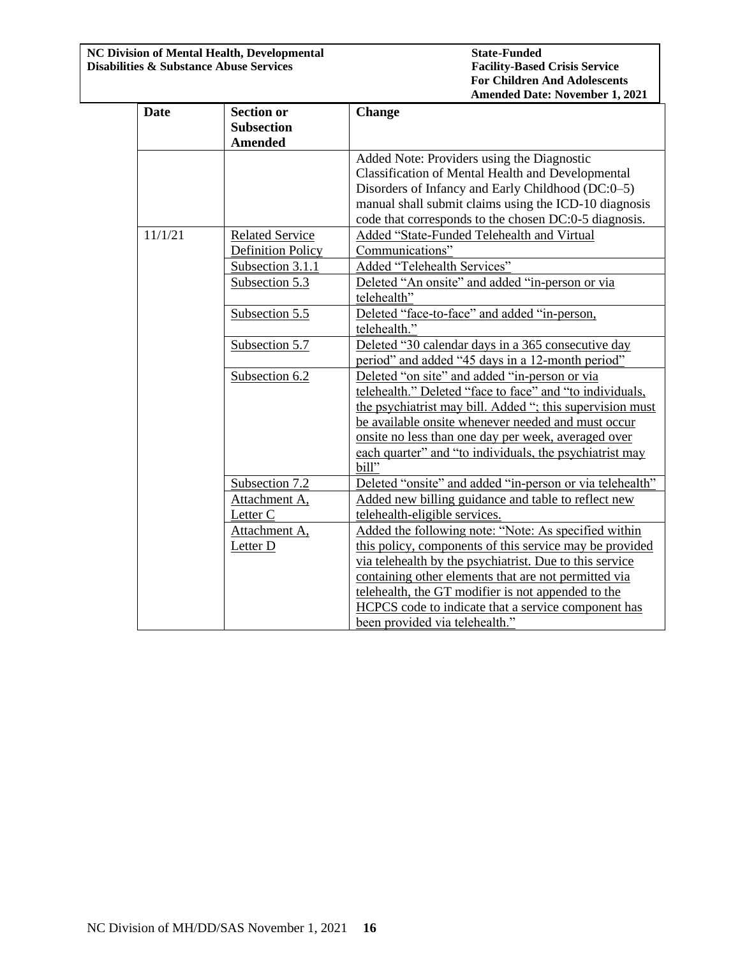**NC Division of Mental Health, Developmental State-Funded Disabilities & Substance Abuse Services Facility-Based Crisis Service** 

| <b>Date</b> | <b>Section or</b>        | <b>Change</b>                                             |
|-------------|--------------------------|-----------------------------------------------------------|
|             | <b>Subsection</b>        |                                                           |
|             | <b>Amended</b>           |                                                           |
|             |                          | Added Note: Providers using the Diagnostic                |
|             |                          | <b>Classification of Mental Health and Developmental</b>  |
|             |                          | Disorders of Infancy and Early Childhood (DC:0-5)         |
|             |                          | manual shall submit claims using the ICD-10 diagnosis     |
|             |                          | code that corresponds to the chosen DC:0-5 diagnosis.     |
| 11/1/21     | <b>Related Service</b>   | Added "State-Funded Telehealth and Virtual                |
|             | <b>Definition Policy</b> | Communications"                                           |
|             | Subsection 3.1.1         | Added "Telehealth Services"                               |
|             | Subsection 5.3           | Deleted "An onsite" and added "in-person or via           |
|             |                          | telehealth"                                               |
|             | Subsection 5.5           | Deleted "face-to-face" and added "in-person,              |
|             |                          | telehealth."                                              |
|             | Subsection 5.7           | Deleted "30 calendar days in a 365 consecutive day        |
|             |                          | period" and added "45 days in a 12-month period"          |
|             | Subsection 6.2           | Deleted "on site" and added "in-person or via             |
|             |                          | telehealth." Deleted "face to face" and "to individuals,  |
|             |                          | the psychiatrist may bill. Added "; this supervision must |
|             |                          | be available onsite whenever needed and must occur        |
|             |                          | onsite no less than one day per week, averaged over       |
|             |                          | each quarter" and "to individuals, the psychiatrist may   |
|             |                          | bill"                                                     |
|             | Subsection 7.2           | Deleted "onsite" and added "in-person or via telehealth"  |
|             | Attachment A,            | Added new billing guidance and table to reflect new       |
|             | Letter C                 | telehealth-eligible services.                             |
|             | Attachment A,            | Added the following note: "Note: As specified within      |
|             | Letter D                 | this policy, components of this service may be provided   |
|             |                          | via telehealth by the psychiatrist. Due to this service   |
|             |                          | containing other elements that are not permitted via      |
|             |                          | telehealth, the GT modifier is not appended to the        |
|             |                          | HCPCS code to indicate that a service component has       |
|             |                          | been provided via telehealth."                            |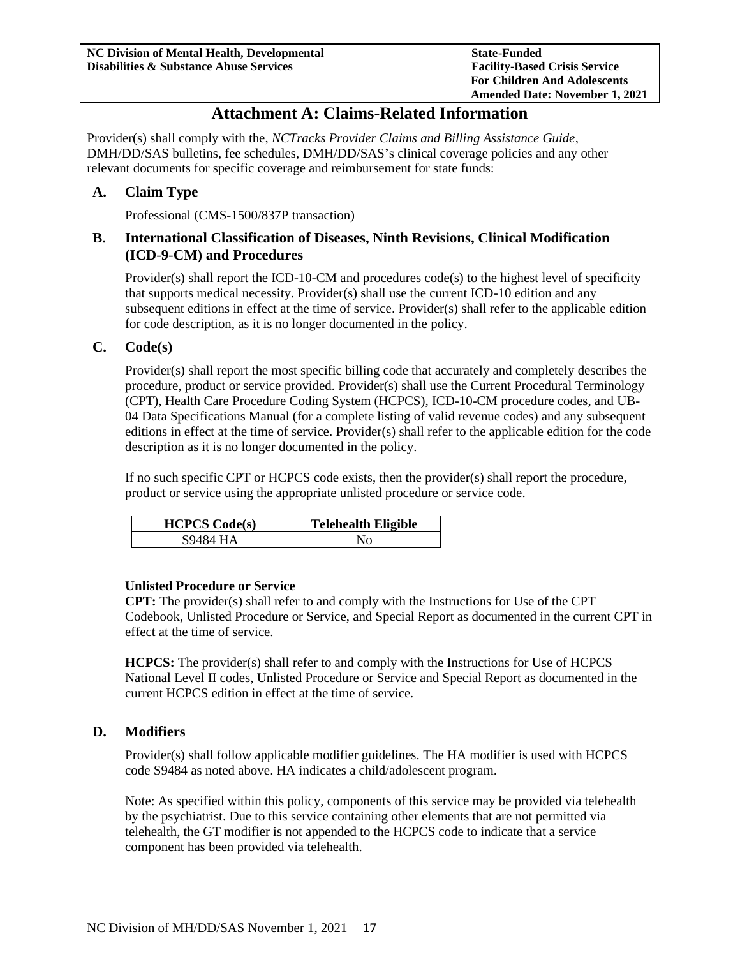# **Attachment A: Claims-Related Information**

<span id="page-16-0"></span>Provider(s) shall comply with the, *NCTracks Provider Claims and Billing Assistance Guide*, DMH/DD/SAS bulletins, fee schedules, DMH/DD/SAS's clinical coverage policies and any other relevant documents for specific coverage and reimbursement for state funds:

## <span id="page-16-1"></span>**A. Claim Type**

Professional (CMS-1500/837P transaction)

# <span id="page-16-2"></span>**B. International Classification of Diseases, Ninth Revisions, Clinical Modification (ICD**-**9**-**CM) and Procedures**

Provider(s) shall report the ICD-10-CM and procedures code(s) to the highest level of specificity that supports medical necessity. Provider(s) shall use the current ICD-10 edition and any subsequent editions in effect at the time of service. Provider(s) shall refer to the applicable edition for code description, as it is no longer documented in the policy.

## <span id="page-16-3"></span>**C. Code(s)**

Provider(s) shall report the most specific billing code that accurately and completely describes the procedure, product or service provided. Provider(s) shall use the Current Procedural Terminology (CPT), Health Care Procedure Coding System (HCPCS), ICD-10-CM procedure codes, and UB-04 Data Specifications Manual (for a complete listing of valid revenue codes) and any subsequent editions in effect at the time of service. Provider(s) shall refer to the applicable edition for the code description as it is no longer documented in the policy.

If no such specific CPT or HCPCS code exists, then the provider(s) shall report the procedure, product or service using the appropriate unlisted procedure or service code.

| <b>HCPCS</b> Code(s) | <b>Telehealth Eligible</b> |
|----------------------|----------------------------|
|                      |                            |

#### **Unlisted Procedure or Service**

**CPT:** The provider(s) shall refer to and comply with the Instructions for Use of the CPT Codebook, Unlisted Procedure or Service, and Special Report as documented in the current CPT in effect at the time of service.

**HCPCS:** The provider(s) shall refer to and comply with the Instructions for Use of HCPCS National Level II codes, Unlisted Procedure or Service and Special Report as documented in the current HCPCS edition in effect at the time of service.

#### <span id="page-16-4"></span>**D. Modifiers**

Provider(s) shall follow applicable modifier guidelines. The HA modifier is used with HCPCS code S9484 as noted above. HA indicates a child/adolescent program.

Note: As specified within this policy, components of this service may be provided via telehealth by the psychiatrist. Due to this service containing other elements that are not permitted via telehealth, the GT modifier is not appended to the HCPCS code to indicate that a service component has been provided via telehealth.